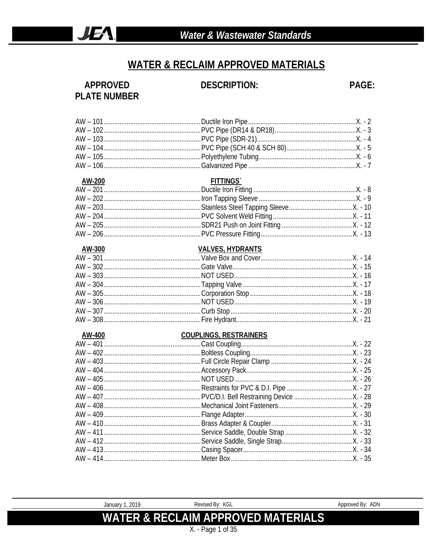#### **WATER & RECLAIM APPROVED MATERIALS**

**APPROVED** 

**DESCRIPTION:** 

PAGE:

# **PLATE NUMBER**

| AW-200 | <b>FITTINGS</b>               |  |
|--------|-------------------------------|--|
|        |                               |  |
|        |                               |  |
|        |                               |  |
|        |                               |  |
|        |                               |  |
|        |                               |  |
| AW-300 | <b>VALVES, HYDRANTS</b>       |  |
|        |                               |  |
|        |                               |  |
|        |                               |  |
|        |                               |  |
|        |                               |  |
|        |                               |  |
|        |                               |  |
|        |                               |  |
|        |                               |  |
| AW-400 | <b>COUPLINGS, RESTRAINERS</b> |  |
|        |                               |  |
|        |                               |  |
|        |                               |  |
|        |                               |  |
|        |                               |  |
|        |                               |  |
|        |                               |  |
|        |                               |  |
|        |                               |  |
|        |                               |  |
|        |                               |  |
|        |                               |  |
|        |                               |  |
|        |                               |  |
|        |                               |  |

January 1, 2019

Revised By: KGL

**WATER & RECLAIM APPROVED MATERIALS** 

X. - Page 1 of 35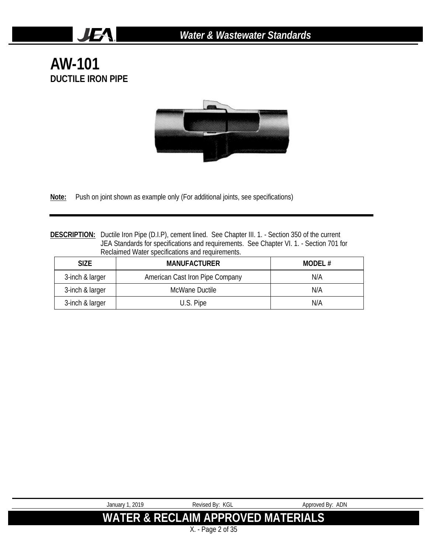**AW-101 DUCTILE IRON PIPE**

JEA.



**Note:** Push on joint shown as example only (For additional joints, see specifications)

DESCRIPTION: Ductile Iron Pipe (D.I.P), cement lined. See Chapter III. 1. - Section 350 of the current JEA Standards for specifications and requirements. See Chapter VI. 1. - Section 701 for Reclaimed Water specifications and requirements.

| <b>SIZE</b>     | <b>MANUFACTURER</b>             | MODEL $#$ |
|-----------------|---------------------------------|-----------|
| 3-inch & larger | American Cast Iron Pipe Company | N/A       |
| 3-inch & larger | McWane Ductile                  | N/A       |
| 3-inch & larger | U.S. Pipe                       | N/A       |

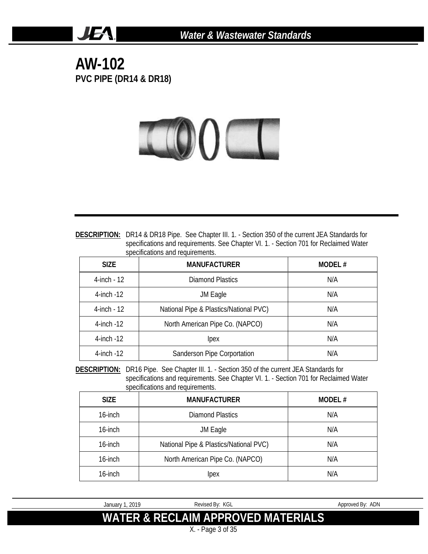**AW-102 PVC PIPE (DR14 & DR18)**

**JEA** 

# TOO CL

**DESCRIPTION:** DR14 & DR18 Pipe. See Chapter III. 1. - Section 350 of the current JEA Standards for specifications and requirements. See Chapter VI. 1. - Section 701 for Reclaimed Water specifications and requirements.

| <b>SIZE</b>     | <b>MANUFACTURER</b>                    | <b>MODEL#</b> |
|-----------------|----------------------------------------|---------------|
| $4$ -inch - 12  | <b>Diamond Plastics</b>                | N/A           |
| $4$ -inch $-12$ | JM Eagle                               | N/A           |
| $4$ -inch - 12  | National Pipe & Plastics/National PVC) | N/A           |
| $4$ -inch $-12$ | North American Pipe Co. (NAPCO)        | N/A           |
| $4$ -inch $-12$ | lpex                                   | N/A           |
| $4$ -inch $-12$ | Sanderson Pipe Corportation            | N/A           |

**DESCRIPTION:** DR16 Pipe. See Chapter III. 1. - Section 350 of the current JEA Standards for specifications and requirements. See Chapter VI. 1. - Section 701 for Reclaimed Water specifications and requirements.

| <b>SIZE</b> | <b>MANUFACTURER</b>                    | MODEL# |
|-------------|----------------------------------------|--------|
| 16-inch     | <b>Diamond Plastics</b>                | N/A    |
| 16-inch     | JM Eagle                               | N/A    |
| 16-inch     | National Pipe & Plastics/National PVC) | N/A    |
| 16-inch     | North American Pipe Co. (NAPCO)        | N/A    |
| 16-inch     | lpex                                   | N/A    |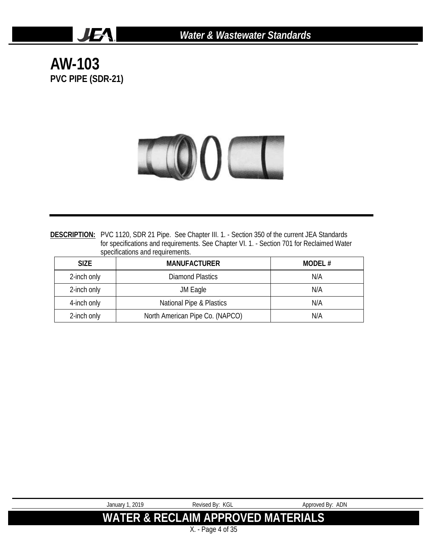**AW-103 PVC PIPE (SDR-21)**

**JEA** 



**DESCRIPTION:** PVC 1120, SDR 21 Pipe. See Chapter III. 1. - Section 350 of the current JEA Standards for specifications and requirements. See Chapter VI. 1. - Section 701 for Reclaimed Water specifications and requirements.

| <b>SIZE</b> | <b>MANUFACTURER</b>             | <b>MODEL#</b> |
|-------------|---------------------------------|---------------|
| 2-inch only | Diamond Plastics                | N/A           |
| 2-inch only | JM Eagle                        | N/A           |
| 4-inch only | National Pipe & Plastics        | N/A           |
| 2-inch only | North American Pipe Co. (NAPCO) | N/A           |

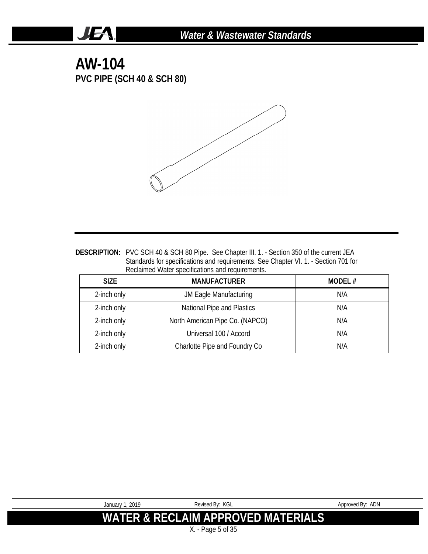#### **AW-104 PVC PIPE (SCH 40 & SCH 80)**

**JEA** 



| <b>DESCRIPTION:</b> PVC SCH 40 & SCH 80 Pipe. See Chapter III. 1. - Section 350 of the current JEA |  |
|----------------------------------------------------------------------------------------------------|--|
| Standards for specifications and requirements. See Chapter VI. 1. - Section 701 for                |  |
| Reclaimed Water specifications and requirements.                                                   |  |

| <b>SIZE</b> | <b>MANUFACTURER</b>             | <b>MODEL#</b> |
|-------------|---------------------------------|---------------|
| 2-inch only | JM Eagle Manufacturing          | N/A           |
| 2-inch only | National Pipe and Plastics      | N/A           |
| 2-inch only | North American Pipe Co. (NAPCO) | N/A           |
| 2-inch only | Universal 100 / Accord          | N/A           |
| 2-inch only | Charlotte Pipe and Foundry Co   | N/A           |

| January 1, 2019 | Revised By: KGL                    | Approved By: ADN |
|-----------------|------------------------------------|------------------|
|                 | WATER & RECLAIM APPROVED MATERIALS |                  |
|                 | $X. - Page 5 of 35$                |                  |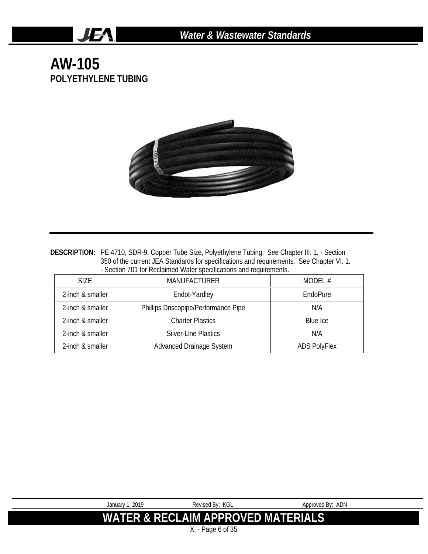**AW-105 POLYETHYLENE TUBING**

**JEA** 



**DESCRIPTION:** PE 4710, SDR-9, Copper Tube Size, Polyethylene Tubing. See Chapter III. 1. - Section 350 of the current JEA Standards for specifications and requirements. See Chapter VI. 1. - Section 701 for Reclaimed Water specifications and requirements.

| SI <sub>7</sub> F | <b>MANUFACTURER</b>                  | MODEL $#$           |
|-------------------|--------------------------------------|---------------------|
| 2-inch & smaller  | Endot-Yardley                        | EndoPure            |
| 2-inch & smaller  | Phillips Driscopipe/Performance Pipe | N/A                 |
| 2-inch & smaller  | <b>Charter Plastics</b>              | Blue Ice            |
| 2-inch & smaller  | <b>Silver-Line Plastics</b>          | N/A                 |
| 2-inch & smaller  | <b>Advanced Drainage System</b>      | <b>ADS PolyFlex</b> |

| January 1, 2019 | Revised By: KGL                    | Approved By: ADN |
|-----------------|------------------------------------|------------------|
|                 | WATER & RECLAIM APPROVED MATERIALS |                  |
|                 | $X. - Page 6 of 35$                |                  |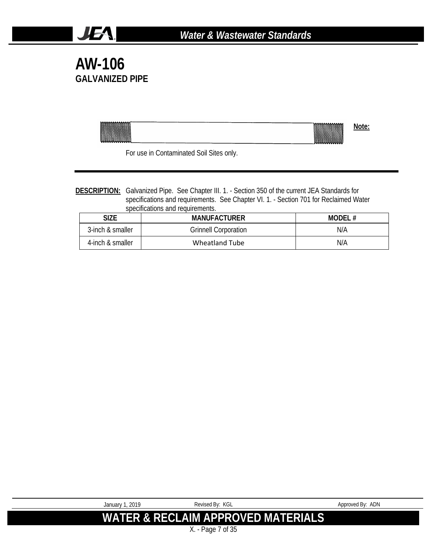#### **AW-106 GALVANIZED PIPE**

**JEA** 



For use in Contaminated Soil Sites only.

#### DESCRIPTION: Galvanized Pipe. See Chapter III. 1. - Section 350 of the current JEA Standards for specifications and requirements. See Chapter VI. 1. - Section 701 for Reclaimed Water specifications and requirements.

| SIZE             | <b>MANUFACTURER</b>         | MODEL $#$ |
|------------------|-----------------------------|-----------|
| 3-inch & smaller | <b>Grinnell Corporation</b> | N/A       |
| 4-inch & smaller | Wheatland Tube              | N/A       |

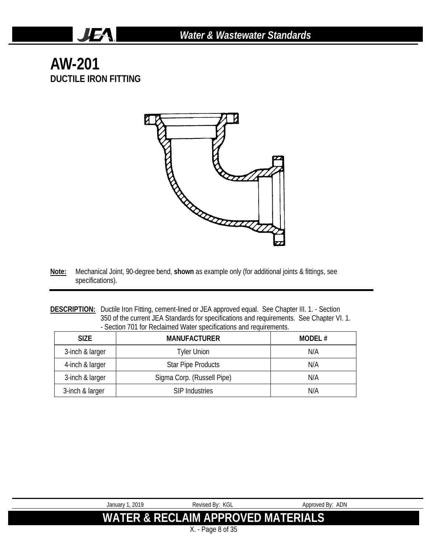## **AW-201 DUCTILE IRON FITTING**

**JEA** 



- **Note:** Mechanical Joint, 90-degree bend, **shown** as example only (for additional joints & fittings, see specifications).
- **DESCRIPTION:** Ductile Iron Fitting, cement-lined or JEA approved equal. See Chapter III. 1. Section 350 of the current JEA Standards for specifications and requirements. See Chapter VI. 1. - Section 701 for Reclaimed Water specifications and requirements.

| <b>SIZE</b>     | <b>MANUFACTURER</b>        | MODEL# |
|-----------------|----------------------------|--------|
| 3-inch & larger | Tyler Union                | N/A    |
| 4-inch & larger | <b>Star Pipe Products</b>  | N/A    |
| 3-inch & larger | Sigma Corp. (Russell Pipe) | N/A    |
| 3-inch & larger | <b>SIP Industries</b>      | N/A    |



X. - Page 8 of 35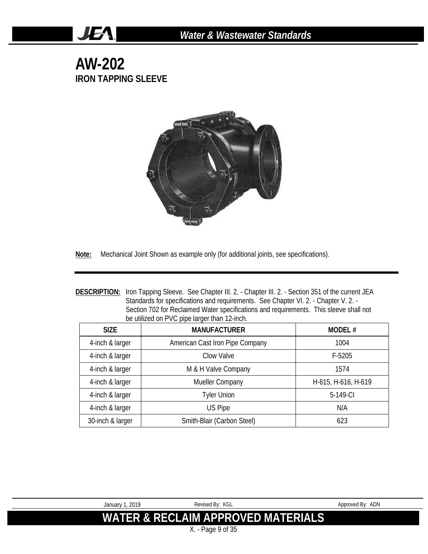**AW-202 IRON TAPPING SLEEVE**

**JEA** 



**Note:** Mechanical Joint Shown as example only (for additional joints, see specifications).

| <b>DESCRIPTION:</b> Iron Tapping Sleeve. See Chapter III. 2. - Chapter III. 2. - Section 351 of the current JEA |
|-----------------------------------------------------------------------------------------------------------------|
| Standards for specifications and requirements. See Chapter VI. 2. - Chapter V. 2. -                             |
| Section 702 for Reclaimed Water specifications and requirements. This sleeve shall not                          |
| be utilized on PVC pipe larger than 12-inch.                                                                    |

| <b>SIZE</b>      | <b>MANUFACTURER</b>             | <b>MODEL#</b>       |
|------------------|---------------------------------|---------------------|
| 4-inch & larger  | American Cast Iron Pipe Company | 1004                |
| 4-inch & larger  | Clow Valve                      | F-5205              |
| 4-inch & larger  | M & H Valve Company             | 1574                |
| 4-inch & larger  | <b>Mueller Company</b>          | H-615, H-616, H-619 |
| 4-inch & larger  | <b>Tyler Union</b>              | $5-149-CI$          |
| 4-inch & larger  | US Pipe                         | N/A                 |
| 30-inch & larger | Smith-Blair (Carbon Steel)      | 623                 |

| January 1, 2019                    | Revised By: KGL     | Approved By: ADN |
|------------------------------------|---------------------|------------------|
| WATER & RECLAIM APPROVED MATERIALS |                     |                  |
|                                    | $X. - Page 9 of 35$ |                  |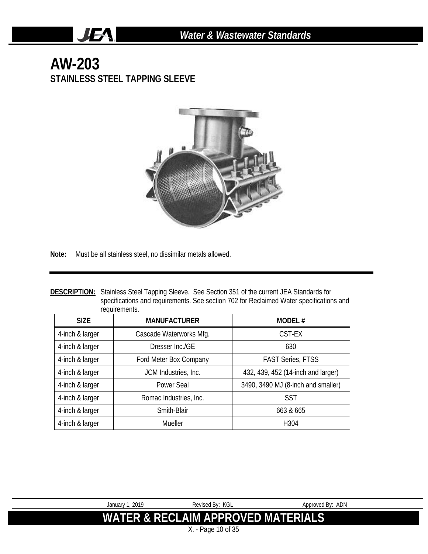# **AW-203 STAINLESS STEEL TAPPING SLEEVE**

JEA.



**Note:** Must be all stainless steel, no dissimilar metals allowed.

**DESCRIPTION:** Stainless Steel Tapping Sleeve. See Section 351 of the current JEA Standards for specifications and requirements. See section 702 for Reclaimed Water specifications and requirements.

| <b>SIZE</b>     | <b>MANUFACTURER</b>     | MODEL#                             |
|-----------------|-------------------------|------------------------------------|
| 4-inch & larger | Cascade Waterworks Mfg. | CST-EX                             |
| 4-inch & larger | Dresser Inc./GE         | 630                                |
| 4-inch & larger | Ford Meter Box Company  | <b>FAST Series, FTSS</b>           |
| 4-inch & larger | JCM Industries, Inc.    | 432, 439, 452 (14-inch and larger) |
| 4-inch & larger | Power Seal              | 3490, 3490 MJ (8-inch and smaller) |
| 4-inch & larger | Romac Industries, Inc.  | <b>SST</b>                         |
| 4-inch & larger | Smith-Blair             | 663 & 665                          |
| 4-inch & larger | Mueller                 | H <sub>304</sub>                   |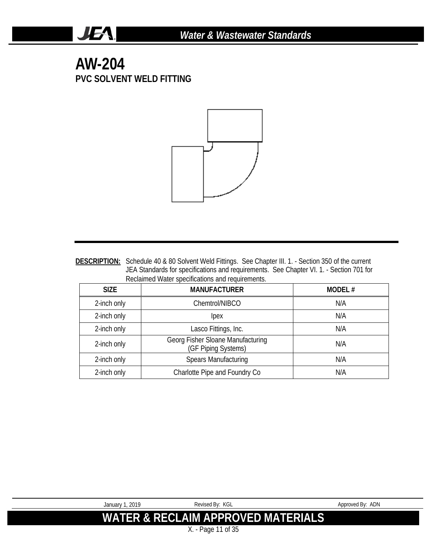#### **AW-204 PVC SOLVENT WELD FITTING**

**JEA** 



**DESCRIPTION:** Schedule 40 & 80 Solvent Weld Fittings. See Chapter III. 1. - Section 350 of the current JEA Standards for specifications and requirements. See Chapter VI. 1. - Section 701 for Reclaimed Water specifications and requirements.

| <b>SIZE</b> | <b>MANUFACTURER</b>                                      | <b>MODEL#</b> |
|-------------|----------------------------------------------------------|---------------|
| 2-inch only | Chemtrol/NIBCO                                           | N/A           |
| 2-inch only | <i>lpex</i>                                              | N/A           |
| 2-inch only | Lasco Fittings, Inc.                                     | N/A           |
| 2-inch only | Georg Fisher Sloane Manufacturing<br>(GF Piping Systems) | N/A           |
| 2-inch only | <b>Spears Manufacturing</b>                              | N/A           |
| 2-inch only | Charlotte Pipe and Foundry Co                            | N/A           |

| January 1, 2019 | Revised By: KGL                    | Approved By: ADN |
|-----------------|------------------------------------|------------------|
|                 |                                    |                  |
|                 | WATER & RECLAIM APPROVED MATERIALS |                  |
|                 |                                    |                  |
|                 | X. - Page 11 of 35                 |                  |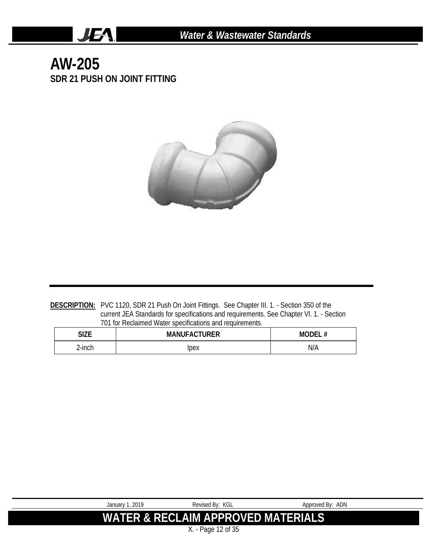# **AW-205 SDR 21 PUSH ON JOINT FITTING**

**JEA** 



**DESCRIPTION:** PVC 1120, SDR 21 Push On Joint Fittings. See Chapter III. 1. - Section 350 of the current JEA Standards for specifications and requirements. See Chapter VI. 1. - Section 701 for Reclaimed Water specifications and requirements.

| 017 P<br>JILE | <b>MANUFACTURER</b> | M <sup>c</sup><br>$^{\prime\prime}$<br>' זחו<br>┄ |
|---------------|---------------------|---------------------------------------------------|
| $2$ -inch     | lpex                | N/A                                               |

| January 1, 2019                    | Revised By: KGL    | Approved By: ADN |  |  |
|------------------------------------|--------------------|------------------|--|--|
| WATER & RECLAIM APPROVED MATERIALS |                    |                  |  |  |
|                                    | X. - Page 12 of 35 |                  |  |  |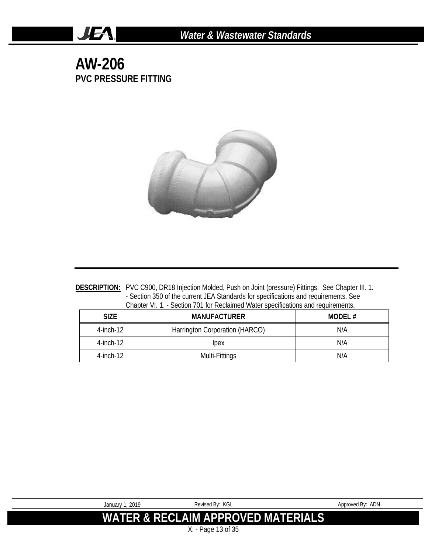#### **AW-206 PVC PRESSURE FITTING**

JEA.



**DESCRIPTION:** PVC C900, DR18 Injection Molded, Push on Joint (pressure) Fittings. See Chapter III. 1. - Section 350 of the current JEA Standards for specifications and requirements. See Chapter VI. 1. - Section 701 for Reclaimed Water specifications and requirements.

| <b>SIZE</b>  | <b>MANUFACTURER</b>            | MODEL# |
|--------------|--------------------------------|--------|
| $4$ -inch-12 | Harrington Corporation (HARCO) | N/A    |
| $4$ -inch-12 | lpex                           | N/A    |
| $4$ -inch-12 | Multi-Fittings                 | N/A    |

|                                    | January 1, 2019 | Revised By: KGL    | Approved By: ADN |
|------------------------------------|-----------------|--------------------|------------------|
| WATER & RECLAIM APPROVED MATERIALS |                 |                    |                  |
|                                    |                 | X. - Page 13 of 35 |                  |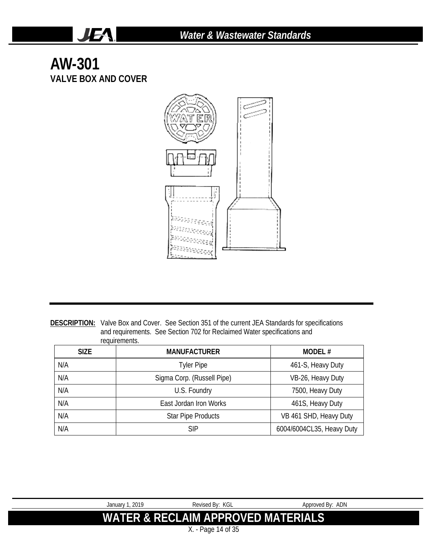# **AW-301 VALVE BOX AND COVER**

**JEA** 



**DESCRIPTION:** Valve Box and Cover. See Section 351 of the current JEA Standards for specifications and requirements. See Section 702 for Reclaimed Water specifications and requirements.

| <b>SIZE</b> | <b>MANUFACTURER</b>        | MODEL#                    |
|-------------|----------------------------|---------------------------|
| N/A         | <b>Tyler Pipe</b>          | 461-S, Heavy Duty         |
| N/A         | Sigma Corp. (Russell Pipe) | VB-26, Heavy Duty         |
| N/A         | U.S. Foundry               | 7500, Heavy Duty          |
| N/A         | East Jordan Iron Works     | 461S, Heavy Duty          |
| N/A         | <b>Star Pipe Products</b>  | VB 461 SHD, Heavy Duty    |
| N/A         | <b>SIP</b>                 | 6004/6004CL35, Heavy Duty |

|                                    | January 1, 2019 | Revised By: KGL       | Approved By: ADN |  |
|------------------------------------|-----------------|-----------------------|------------------|--|
| WATER & RECLAIM APPROVED MATERIALS |                 |                       |                  |  |
|                                    |                 |                       |                  |  |
|                                    |                 | $D_{0.92}$ 14 of $25$ |                  |  |

X. - Page 14 of 35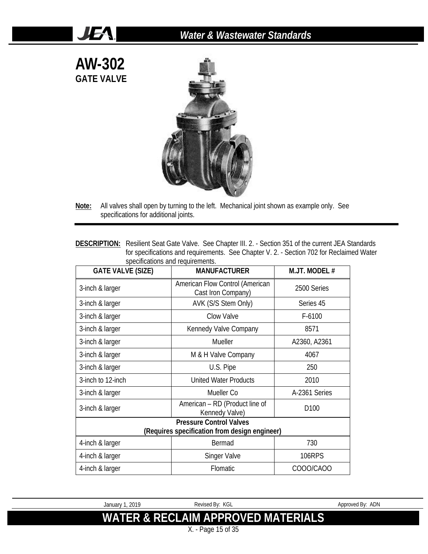

**JEA** 



- **Note:** All valves shall open by turning to the left. Mechanical joint shown as example only. See specifications for additional joints.
- **DESCRIPTION:** Resilient Seat Gate Valve. See Chapter III. 2. Section 351 of the current JEA Standards for specifications and requirements. See Chapter V. 2. - Section 702 for Reclaimed Water specifications and requirements.

| <b>GATE VALVE (SIZE)</b>                      | <b>MANUFACTURER</b>                                   | M.JT. MODEL #    |  |
|-----------------------------------------------|-------------------------------------------------------|------------------|--|
| 3-inch & larger                               | American Flow Control (American<br>Cast Iron Company) | 2500 Series      |  |
| 3-inch & larger                               | AVK (S/S Stem Only)                                   | Series 45        |  |
| 3-inch & larger                               | Clow Valve                                            | $F-6100$         |  |
| 3-inch & larger                               | Kennedy Valve Company                                 | 8571             |  |
| 3-inch & larger                               | Mueller                                               | A2360, A2361     |  |
| 3-inch & larger                               | M & H Valve Company                                   | 4067             |  |
| 3-inch & larger                               | U.S. Pipe                                             | 250              |  |
| 3-inch to 12-inch                             | <b>United Water Products</b>                          | 2010             |  |
| 3-inch & larger                               | Mueller Co                                            | A-2361 Series    |  |
| 3-inch & larger                               | American - RD (Product line of<br>Kennedy Valve)      | D <sub>100</sub> |  |
| <b>Pressure Control Valves</b>                |                                                       |                  |  |
| (Requires specification from design engineer) |                                                       |                  |  |
| 4-inch & larger                               | Bermad                                                | 730              |  |
| 4-inch & larger                               | <b>Singer Valve</b>                                   | <b>106RPS</b>    |  |
| 4-inch & larger                               | Flomatic                                              | COOO/CAOO        |  |

**WATER & RECLAIM APPROVED MATERIALS** X. - Page 15 of 35

January 1, 2019 **Revised By: KGL** Approved By: ADN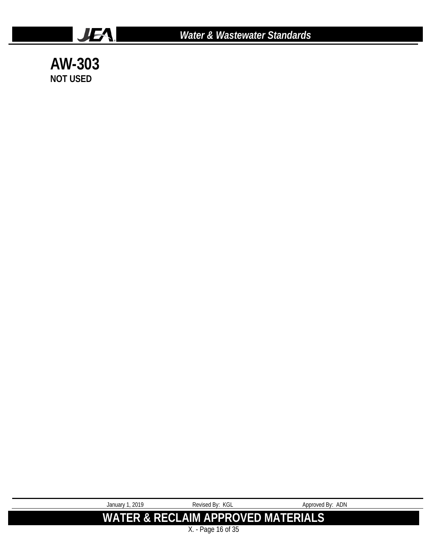

**AW-303 NOT USED**

> January 1, 2019 **Revised By: KGL** Approved By: ADN **WATER & RECLAIM APPROVED MATERIALS** X. - Page 16 of 35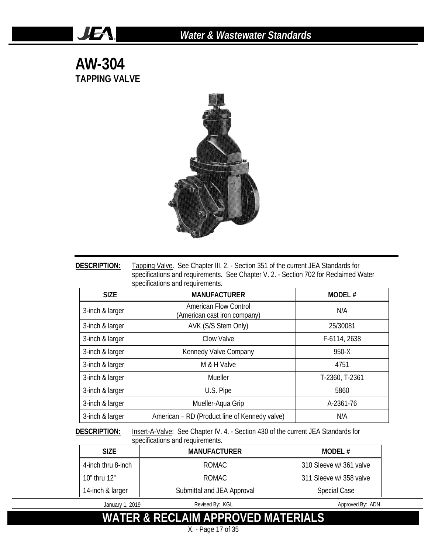#### **AW-304 TAPPING VALVE**

JEA.



| DESCRIPTION: | Tapping Valve. See Chapter III. 2. - Section 351 of the current JEA Standards for    |
|--------------|--------------------------------------------------------------------------------------|
|              | specifications and requirements. See Chapter V. 2. - Section 702 for Reclaimed Water |
|              | specifications and requirements.                                                     |

| <b>SIZE</b>     | <b>MANUFACTURER</b>                                          | MODEL #        |
|-----------------|--------------------------------------------------------------|----------------|
| 3-inch & larger | <b>American Flow Control</b><br>(American cast iron company) | N/A            |
| 3-inch & larger | AVK (S/S Stem Only)                                          | 25/30081       |
| 3-inch & larger | <b>Clow Valve</b>                                            | F-6114, 2638   |
| 3-inch & larger | Kennedy Valve Company                                        | 950-X          |
| 3-inch & larger | M & H Valve                                                  | 4751           |
| 3-inch & larger | Mueller                                                      | T-2360, T-2361 |
| 3-inch & larger | U.S. Pipe                                                    | 5860           |
| 3-inch & larger | Mueller-Aqua Grip                                            | A-2361-76      |
| 3-inch & larger | American - RD (Product line of Kennedy valve)                | N/A            |

**DESCRIPTION:** Insert-A-Valve: See Chapter IV. 4. - Section 430 of the current JEA Standards for specifications and requirements.

| <b>SIZE</b>        | <b>MANUFACTURER</b>        | MODEL#                  |
|--------------------|----------------------------|-------------------------|
| 4-inch thru 8-inch | <b>ROMAC</b>               | 310 Sleeve w/ 361 valve |
| 10" thru 12"       | ROMAC.                     | 311 Sleeve w/ 358 valve |
| 14-inch & larger   | Submittal and JEA Approval | Special Case            |
| January 1, 2019    | Revised By: KGL            | Approved By: ADN        |

# **WATER & RECLAIM APPROVED MATERIALS**

X. - Page 17 of 35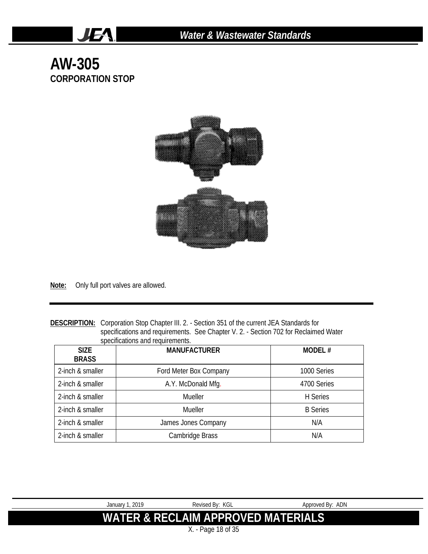#### **AW-305 CORPORATION STOP**

**JEA** 



**Note:** Only full port valves are allowed.

**DESCRIPTION:** Corporation Stop Chapter III. 2. - Section 351 of the current JEA Standards for specifications and requirements. See Chapter V. 2. - Section 702 for Reclaimed Water specifications and requirements.

| <b>SIZE</b><br><b>BRASS</b> | <b>MANUFACTURER</b>    | <b>MODEL#</b>   |
|-----------------------------|------------------------|-----------------|
| 2-inch & smaller            | Ford Meter Box Company | 1000 Series     |
| 2-inch & smaller            | A.Y. McDonald Mfg.     | 4700 Series     |
| 2-inch & smaller            | Mueller                | H Series        |
| 2-inch & smaller            | Mueller                | <b>B</b> Series |
| 2-inch & smaller            | James Jones Company    | N/A             |
| 2-inch & smaller            | Cambridge Brass        | N/A             |

| January 1, 2019 | Revised By: KGL                    | Approved By: ADN |  |
|-----------------|------------------------------------|------------------|--|
|                 |                                    |                  |  |
|                 | WATER & RECLAIM APPROVED MATERIALS |                  |  |
|                 | X. - Page 18 of 35                 |                  |  |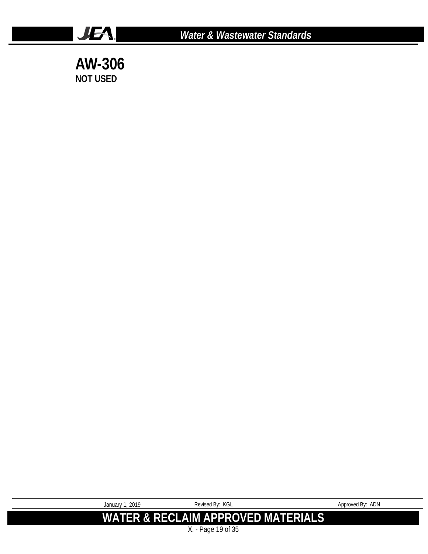



**JEA** 

January 1, 2019 **Revised By: KGL** Approved By: ADN **WATER & RECLAIM APPROVED MATERIALS**

X. - Page 19 of 35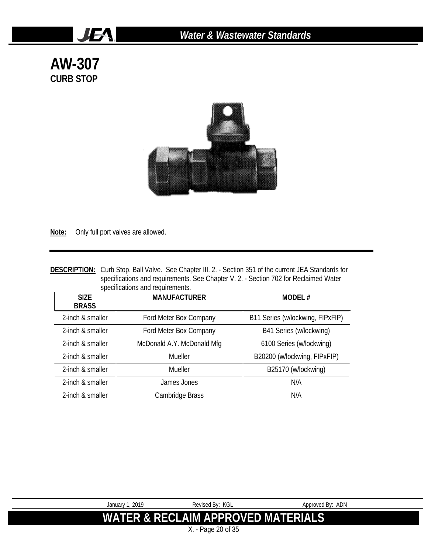**AW-307 CURB STOP**

**JEA** 



**Note:** Only full port valves are allowed.

| <b>DESCRIPTION:</b> Curb Stop, Ball Valve. See Chapter III. 2. - Section 351 of the current JEA Standards for |
|---------------------------------------------------------------------------------------------------------------|
| specifications and requirements. See Chapter V. 2. - Section 702 for Reclaimed Water                          |
| specifications and requirements.                                                                              |

| <b>SIZE</b><br><b>BRASS</b> | <b>MANUFACTURER</b>        | MODEL#                           |
|-----------------------------|----------------------------|----------------------------------|
| 2-inch & smaller            | Ford Meter Box Company     | B11 Series (w/lockwing, FIPxFIP) |
| 2-inch & smaller            | Ford Meter Box Company     | B41 Series (w/lockwing)          |
| 2-inch & smaller            | McDonald A.Y. McDonald Mfg | 6100 Series (w/lockwing)         |
| 2-inch & smaller            | Mueller                    | B20200 (w/lockwing, FIPxFIP)     |
| 2-inch & smaller            | Mueller                    | B25170 (w/lockwing)              |
| 2-inch & smaller            | James Jones                | N/A                              |
| 2-inch & smaller            | Cambridge Brass            | N/A                              |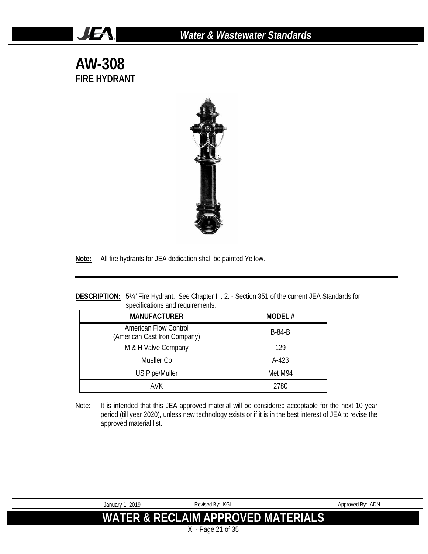**AW-308 FIRE HYDRANT**

**JEA** 



**Note:** All fire hydrants for JEA dedication shall be painted Yellow.

#### **DESCRIPTION:** 5¼" Fire Hydrant. See Chapter III. 2. - Section 351 of the current JEA Standards for specifications and requirements.

| <b>MANUFACTURER</b>                                          | MODEL#        |
|--------------------------------------------------------------|---------------|
| <b>American Flow Control</b><br>(American Cast Iron Company) | <b>B-84-B</b> |
| M & H Valve Company                                          | 129           |
| Mueller Co                                                   | A-423         |
| <b>US Pipe/Muller</b>                                        | Met M94       |
| AVK                                                          | 2780          |

Note: It is intended that this JEA approved material will be considered acceptable for the next 10 year period (till year 2020), unless new technology exists or if it is in the best interest of JEA to revise the approved material list.

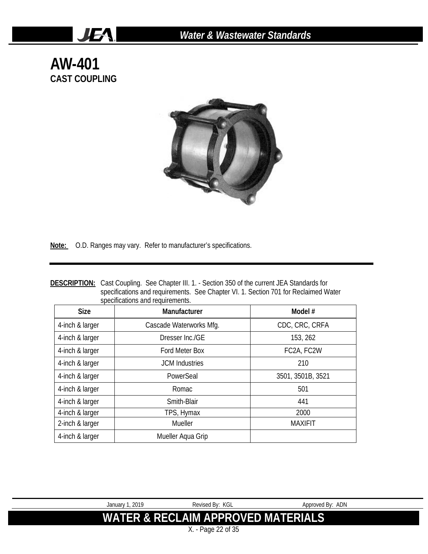**AW-401 CAST COUPLING**

**JEA** 



**Note:** O.D. Ranges may vary. Refer to manufacturer's specifications.

| <b>DESCRIPTION:</b> Cast Coupling. See Chapter III. 1. - Section 350 of the current JEA Standards for<br>specifications and requirements. See Chapter VI. 1. Section 701 for Reclaimed Water<br>specifications and requirements. |                         |                   |  |
|----------------------------------------------------------------------------------------------------------------------------------------------------------------------------------------------------------------------------------|-------------------------|-------------------|--|
| <b>Size</b>                                                                                                                                                                                                                      | <b>Manufacturer</b>     | Model #           |  |
| 4-inch & larger                                                                                                                                                                                                                  | Cascade Waterworks Mfg. | CDC, CRC, CRFA    |  |
| 4-inch & larger                                                                                                                                                                                                                  | Dresser Inc./GE         | 153, 262          |  |
| 4-inch & larger                                                                                                                                                                                                                  | Ford Meter Box          | FC2A, FC2W        |  |
| 4-inch & larger                                                                                                                                                                                                                  | <b>JCM Industries</b>   | 210               |  |
| 4-inch & larger                                                                                                                                                                                                                  | PowerSeal               | 3501, 3501B, 3521 |  |
| 4-inch & larger                                                                                                                                                                                                                  | Romac                   | 501               |  |
| 4-inch & larger                                                                                                                                                                                                                  | Smith-Blair             | 441               |  |
| 4-inch & larger                                                                                                                                                                                                                  | TPS, Hymax              | 2000              |  |
| 2-inch & larger                                                                                                                                                                                                                  | Mueller                 | <b>MAXIFIT</b>    |  |
| 4-inch & larger                                                                                                                                                                                                                  | Mueller Aqua Grip       |                   |  |

| January 1, 2019 | Revised By: KGL                               | Approved By: ADN |
|-----------------|-----------------------------------------------|------------------|
|                 | <b>WATER &amp; RECLAIM APPROVED MATERIALS</b> |                  |
|                 | X. - Page 22 of 35                            |                  |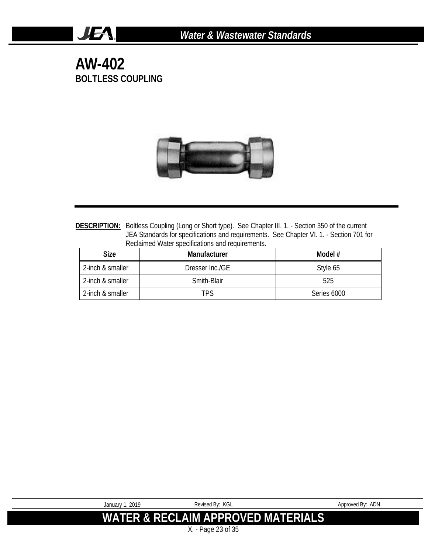#### **AW-402 BOLTLESS COUPLING**

**JEA** 



DESCRIPTION: Boltless Coupling (Long or Short type). See Chapter III. 1. - Section 350 of the current JEA Standards for specifications and requirements. See Chapter VI. 1. - Section 701 for Reclaimed Water specifications and requirements.

| <b>Size</b>      | <b>Manufacturer</b> | Model #     |
|------------------|---------------------|-------------|
| 2-inch & smaller | Dresser Inc./GE     | Style 65    |
| 2-inch & smaller | Smith-Blair         | 525         |
| 2-inch & smaller | TPS                 | Series 6000 |

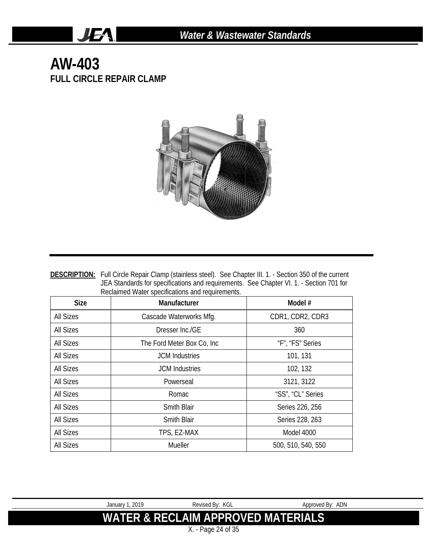#### **AW-403 FULL CIRCLE REPAIR CLAMP**

**JEA** 



| <b>DESCRIPTION:</b> Full Circle Repair Clamp (stainless steel). See Chapter III. 1. - Section 350 of the current |
|------------------------------------------------------------------------------------------------------------------|
| JEA Standards for specifications and requirements. See Chapter VI. 1. - Section 701 for                          |
| Reclaimed Water specifications and requirements.                                                                 |

| <b>Size</b>      | Manufacturer                | Model #            |
|------------------|-----------------------------|--------------------|
| <b>All Sizes</b> | Cascade Waterworks Mfg.     | CDR1, CDR2, CDR3   |
| All Sizes        | Dresser Inc./GE             | 360                |
| <b>All Sizes</b> | The Ford Meter Box Co, Inc. | "F", "FS" Series   |
| <b>All Sizes</b> | <b>JCM</b> Industries       | 101, 131           |
| <b>All Sizes</b> | <b>JCM</b> Industries       | 102, 132           |
| <b>All Sizes</b> | Powerseal                   | 3121, 3122         |
| <b>All Sizes</b> | Romac                       | "SS", "CL" Series  |
| <b>All Sizes</b> | <b>Smith Blair</b>          | Series 226, 256    |
| <b>All Sizes</b> | <b>Smith Blair</b>          | Series 228, 263    |
| <b>All Sizes</b> | TPS, EZ-MAX                 | Model 4000         |
| <b>All Sizes</b> | Mueller                     | 500, 510, 540, 550 |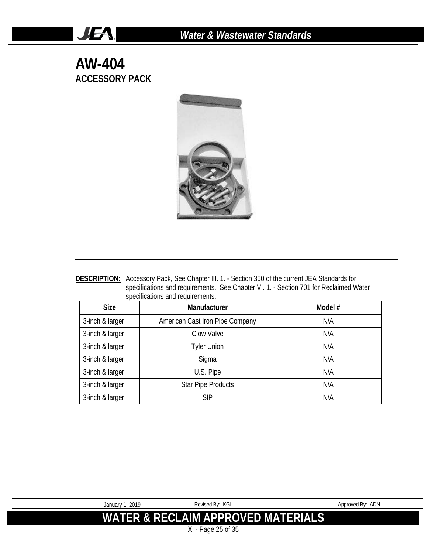**AW-404 ACCESSORY PACK**

**JEA** 



**DESCRIPTION:** Accessory Pack, See Chapter III. 1. - Section 350 of the current JEA Standards for specifications and requirements. See Chapter VI. 1. - Section 701 for Reclaimed Water specifications and requirements.

| <b>Size</b>     | <b>Manufacturer</b>             | Model # |
|-----------------|---------------------------------|---------|
| 3-inch & larger | American Cast Iron Pipe Company | N/A     |
| 3-inch & larger | Clow Valve                      | N/A     |
| 3-inch & larger | <b>Tyler Union</b>              | N/A     |
| 3-inch & larger | Sigma                           | N/A     |
| 3-inch & larger | U.S. Pipe                       | N/A     |
| 3-inch & larger | <b>Star Pipe Products</b>       | N/A     |
| 3-inch & larger | SIP                             | N/A     |



X. - Page 25 of 35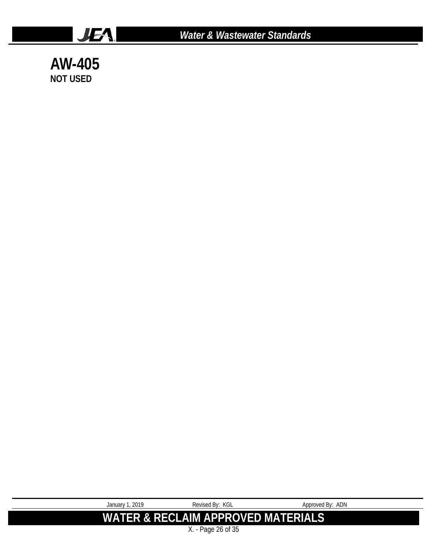

**AW-405 NOT USED**

January 1, 2019 **Revised By: KGL** Approved By: ADN **WATER & RECLAIM APPROVED MATERIALS** X. - Page 26 of 35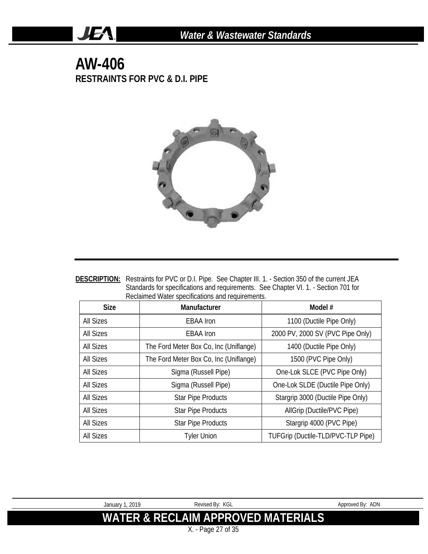#### **AW-406 RESTRAINTS FOR PVC & D.I. PIPE**

JEA.



| <b>DESCRIPTION:</b> Restraints for PVC or D.I. Pipe. See Chapter III. 1. - Section 350 of the current JEA |
|-----------------------------------------------------------------------------------------------------------|
| Standards for specifications and requirements. See Chapter VI. 1. - Section 701 for                       |
| Reclaimed Water specifications and requirements.                                                          |

| <b>Size</b>      | <b>Manufacturer</b>                    | Model #                            |
|------------------|----------------------------------------|------------------------------------|
| <b>All Sizes</b> | <b>EBAA</b> Iron                       | 1100 (Ductile Pipe Only)           |
| <b>All Sizes</b> | FBAA Iron                              | 2000 PV, 2000 SV (PVC Pipe Only)   |
| <b>All Sizes</b> | The Ford Meter Box Co, Inc (Uniflange) | 1400 (Ductile Pipe Only)           |
| <b>All Sizes</b> | The Ford Meter Box Co, Inc (Uniflange) | 1500 (PVC Pipe Only)               |
| <b>All Sizes</b> | Sigma (Russell Pipe)                   | One-Lok SLCE (PVC Pipe Only)       |
| <b>All Sizes</b> | Sigma (Russell Pipe)                   | One-Lok SLDE (Ductile Pipe Only)   |
| <b>All Sizes</b> | <b>Star Pipe Products</b>              | Stargrip 3000 (Ductile Pipe Only)  |
| <b>All Sizes</b> | <b>Star Pipe Products</b>              | AllGrip (Ductile/PVC Pipe)         |
| <b>All Sizes</b> | <b>Star Pipe Products</b>              | Stargrip 4000 (PVC Pipe)           |
| <b>All Sizes</b> | <b>Tyler Union</b>                     | TUFGrip (Ductile-TLD/PVC-TLP Pipe) |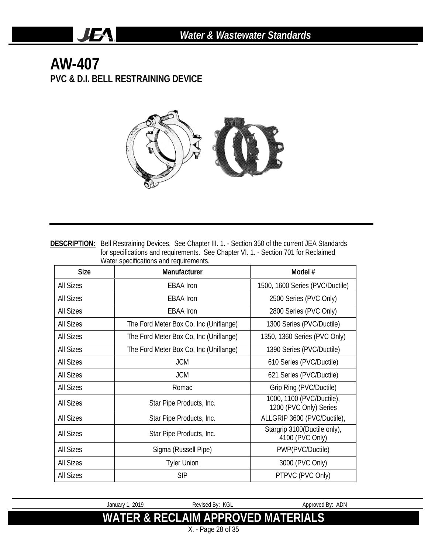# **AW-407 PVC & D.I. BELL RESTRAINING DEVICE**

JEA.



**DESCRIPTION:** Bell Restraining Devices. See Chapter III. 1. - Section 350 of the current JEA Standards for specifications and requirements. See Chapter VI. 1. - Section 701 for Reclaimed Water specifications and requirements.

| <b>Size</b>      | <b><i>rrater specifications and regalientents.</i></b><br>Manufacturer | Model #                                             |
|------------------|------------------------------------------------------------------------|-----------------------------------------------------|
| <b>All Sizes</b> | <b>EBAA</b> Iron                                                       | 1500, 1600 Series (PVC/Ductile)                     |
| <b>All Sizes</b> | <b>EBAA</b> Iron                                                       | 2500 Series (PVC Only)                              |
| <b>All Sizes</b> | <b>EBAA</b> Iron                                                       | 2800 Series (PVC Only)                              |
| <b>All Sizes</b> | The Ford Meter Box Co, Inc (Uniflange)                                 | 1300 Series (PVC/Ductile)                           |
| <b>All Sizes</b> | The Ford Meter Box Co, Inc (Uniflange)                                 | 1350, 1360 Series (PVC Only)                        |
| <b>All Sizes</b> | The Ford Meter Box Co, Inc (Uniflange)                                 | 1390 Series (PVC/Ductile)                           |
| <b>All Sizes</b> | <b>JCM</b>                                                             | 610 Series (PVC/Ductile)                            |
| <b>All Sizes</b> | <b>JCM</b>                                                             | 621 Series (PVC/Ductile)                            |
| <b>All Sizes</b> | Romac                                                                  | Grip Ring (PVC/Ductile)                             |
| <b>All Sizes</b> | Star Pipe Products, Inc.                                               | 1000, 1100 (PVC/Ductile),<br>1200 (PVC Only) Series |
| <b>All Sizes</b> | Star Pipe Products, Inc.                                               | ALLGRIP 3600 (PVC/Ductile),                         |
| <b>All Sizes</b> | Star Pipe Products, Inc.                                               | Stargrip 3100 (Ductile only),<br>4100 (PVC Only)    |
| <b>All Sizes</b> | Sigma (Russell Pipe)                                                   | PWP(PVC/Ductile)                                    |
| <b>All Sizes</b> | <b>Tyler Union</b>                                                     | 3000 (PVC Only)                                     |
| <b>All Sizes</b> | <b>SIP</b>                                                             | PTPVC (PVC Only)                                    |

January 1, 2019 **Revised By: KGL** Approved By: ADN **WATER & RECLAIM APPROVED MATERIALS**

X. - Page 28 of 35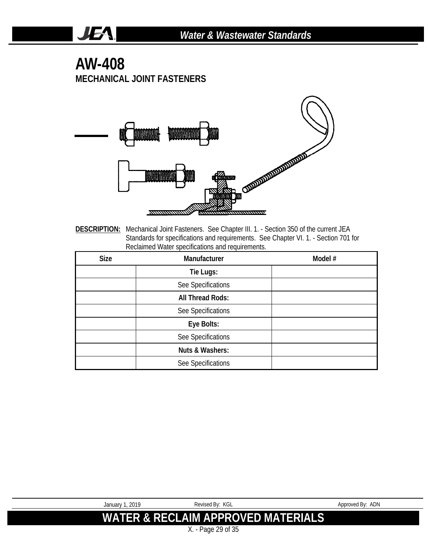#### **AW-408 MECHANICAL JOINT FASTENERS**

**JEA** 



**DESCRIPTION:** Mechanical Joint Fasteners. See Chapter III. 1. - Section 350 of the current JEA Standards for specifications and requirements. See Chapter VI. 1. - Section 701 for Reclaimed Water specifications and requirements.

| <b>Size</b> | Manufacturer               | Model # |
|-------------|----------------------------|---------|
|             | Tie Lugs:                  |         |
|             | See Specifications         |         |
|             | <b>All Thread Rods:</b>    |         |
|             | See Specifications         |         |
|             | Eye Bolts:                 |         |
|             | See Specifications         |         |
|             | <b>Nuts &amp; Washers:</b> |         |
|             | See Specifications         |         |

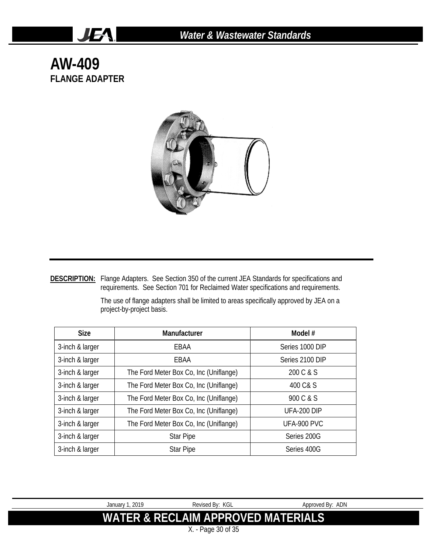**AW-409 FLANGE ADAPTER**

JEA.



**DESCRIPTION:** Flange Adapters. See Section 350 of the current JEA Standards for specifications and requirements. See Section 701 for Reclaimed Water specifications and requirements.

| <b>Size</b>     | <b>Manufacturer</b>                    | Model #         |
|-----------------|----------------------------------------|-----------------|
| 3-inch & larger | EBAA                                   | Series 1000 DIP |
| 3-inch & larger | EBAA                                   | Series 2100 DIP |
| 3-inch & larger | The Ford Meter Box Co, Inc (Uniflange) | 200 C & S       |
| 3-inch & larger | The Ford Meter Box Co, Inc (Uniflange) | 400 C& S        |
| 3-inch & larger | The Ford Meter Box Co, Inc (Uniflange) | 900 C & S       |
| 3-inch & larger | The Ford Meter Box Co, Inc (Uniflange) | UFA-200 DIP     |
| 3-inch & larger | The Ford Meter Box Co, Inc (Uniflange) | UFA-900 PVC     |
| 3-inch & larger | <b>Star Pipe</b>                       | Series 200G     |
| 3-inch & larger | <b>Star Pipe</b>                       | Series 400G     |

The use of flange adapters shall be limited to areas specifically approved by JEA on a project-by-project basis.

January 1, 2019 **Revised By: KGL** Approved By: ADN **WATER & RECLAIM APPROVED MATERIALS** X. - Page 30 of 35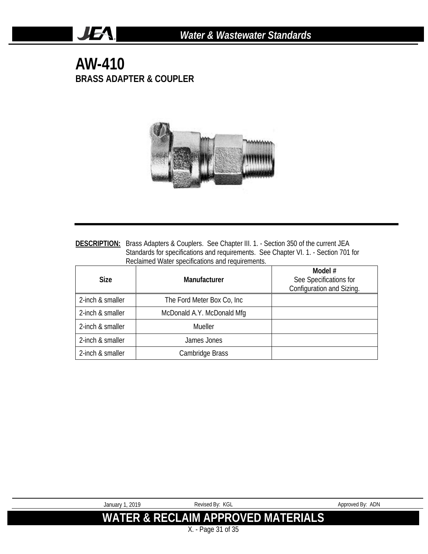#### **AW-410 BRASS ADAPTER & COUPLER**

JEA.



**DESCRIPTION:** Brass Adapters & Couplers. See Chapter III. 1. - Section 350 of the current JEA Standards for specifications and requirements. See Chapter VI. 1. - Section 701 for Reclaimed Water specifications and requirements.

| <b>Size</b>      | <b>Manufacturer</b>         | Model $#$<br>See Specifications for<br>Configuration and Sizing. |
|------------------|-----------------------------|------------------------------------------------------------------|
| 2-inch & smaller | The Ford Meter Box Co, Inc. |                                                                  |
| 2-inch & smaller | McDonald A.Y. McDonald Mfg  |                                                                  |
| 2-inch & smaller | Mueller                     |                                                                  |
| 2-inch & smaller | James Jones                 |                                                                  |
| 2-inch & smaller | Cambridge Brass             |                                                                  |

| January 1, 2019 | Revised By: KGL                    | Approved By: ADN |
|-----------------|------------------------------------|------------------|
|                 |                                    |                  |
|                 | WATER & RECLAIM APPROVED MATERIALS |                  |
|                 |                                    |                  |
|                 | X. - Page 31 of 35                 |                  |
|                 |                                    |                  |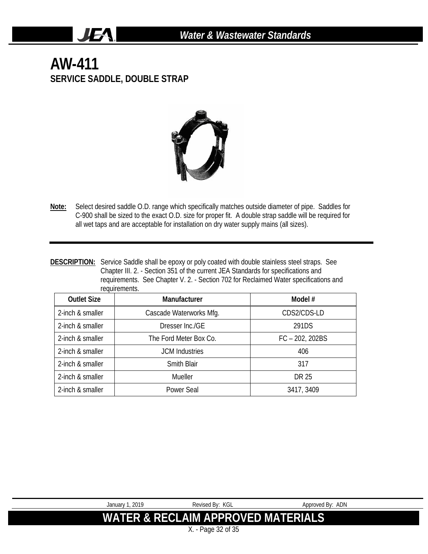## **AW-411 SERVICE SADDLE, DOUBLE STRAP**

JEA



**Note:** Select desired saddle O.D. range which specifically matches outside diameter of pipe. Saddles for C-900 shall be sized to the exact O.D. size for proper fit. A double strap saddle will be required for all wet taps and are acceptable for installation on dry water supply mains (all sizes).

**DESCRIPTION:** Service Saddle shall be epoxy or poly coated with double stainless steel straps. See Chapter III. 2. - Section 351 of the current JEA Standards for specifications and requirements. See Chapter V. 2. - Section 702 for Reclaimed Water specifications and requirements.

| <b>Outlet Size</b> | Manufacturer                           | Model #           |
|--------------------|----------------------------------------|-------------------|
| 2-inch & smaller   | CDS2/CDS-LD<br>Cascade Waterworks Mfg. |                   |
| 2-inch & smaller   | Dresser Inc./GE                        | 291DS             |
| 2-inch & smaller   | The Ford Meter Box Co.                 | $FC - 202, 202BS$ |
| 2-inch & smaller   | <b>JCM Industries</b>                  | 406               |
| 2-inch & smaller   | <b>Smith Blair</b>                     | 317               |
| 2-inch & smaller   | Mueller                                | DR 25             |
| 2-inch & smaller   | Power Seal                             | 3417, 3409        |



X. - Page 32 of 35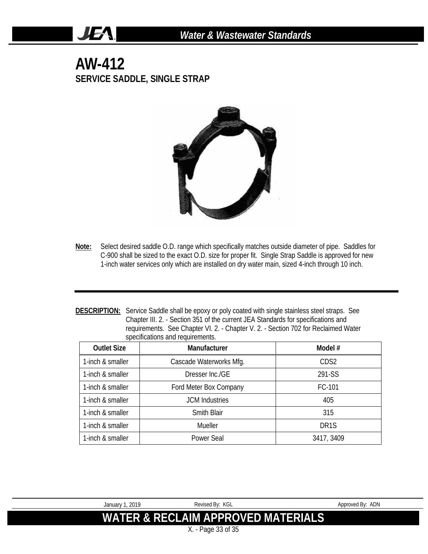#### **AW-412 SERVICE SADDLE, SINGLE STRAP**

**JEA** 



- **Note:** Select desired saddle O.D. range which specifically matches outside diameter of pipe. Saddles for C-900 shall be sized to the exact O.D. size for proper fit. Single Strap Saddle is approved for new 1-inch water services only which are installed on dry water main, sized 4-inch through 10 inch.
- **DESCRIPTION:** Service Saddle shall be epoxy or poly coated with single stainless steel straps. See Chapter III. 2. - Section 351 of the current JEA Standards for specifications and requirements. See Chapter VI. 2. - Chapter V. 2. - Section 702 for Reclaimed Water specifications and requirements.

| <b>Outlet Size</b> | <b>Manufacturer</b>                         | Model $#$         |
|--------------------|---------------------------------------------|-------------------|
| 1-inch & smaller   | Cascade Waterworks Mfg.<br>CDS <sub>2</sub> |                   |
| 1-inch & smaller   | Dresser Inc./GE                             | 291-SS            |
| 1-inch & smaller   | Ford Meter Box Company                      | FC-101            |
| 1-inch & smaller   | <b>JCM Industries</b>                       | 405               |
| 1-inch & smaller   | <b>Smith Blair</b>                          | 315               |
| 1-inch & smaller   | Mueller                                     | DR <sub>1</sub> S |
| 1-inch & smaller   | Power Seal                                  | 3417, 3409        |

| 2019<br>Januarv                               | Revised By: KGL | Approved By: ADN |
|-----------------------------------------------|-----------------|------------------|
| <b>WATER &amp; RECLAIM APPROVED MATERIALS</b> |                 |                  |

X. - Page 33 of 35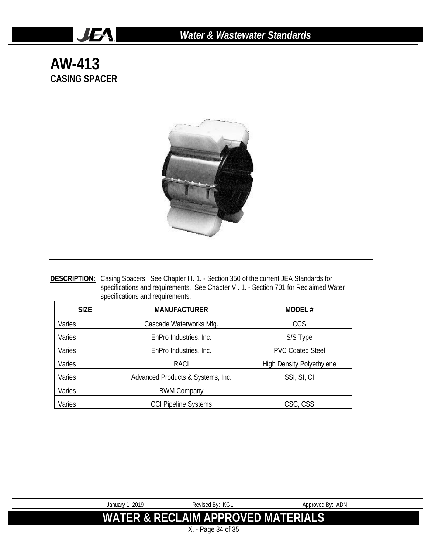# **AW-413 CASING SPACER**

**JEA** 



**DESCRIPTION:** Casing Spacers. See Chapter III. 1. - Section 350 of the current JEA Standards for specifications and requirements. See Chapter VI. 1. - Section 701 for Reclaimed Water specifications and requirements.

| <b>SIZE</b> | <b>MANUFACTURER</b>               | <b>MODEL#</b>                    |
|-------------|-----------------------------------|----------------------------------|
| Varies      | Cascade Waterworks Mfg.           | <b>CCS</b>                       |
| Varies      | EnPro Industries, Inc.            | S/S Type                         |
| Varies      | EnPro Industries, Inc.            | <b>PVC Coated Steel</b>          |
| Varies      | RACI                              | <b>High Density Polyethylene</b> |
| Varies      | Advanced Products & Systems, Inc. | SSI, SI, CI                      |
| Varies      | <b>BWM Company</b>                |                                  |
| Varies      | <b>CCI Pipeline Systems</b>       | CSC, CSS                         |